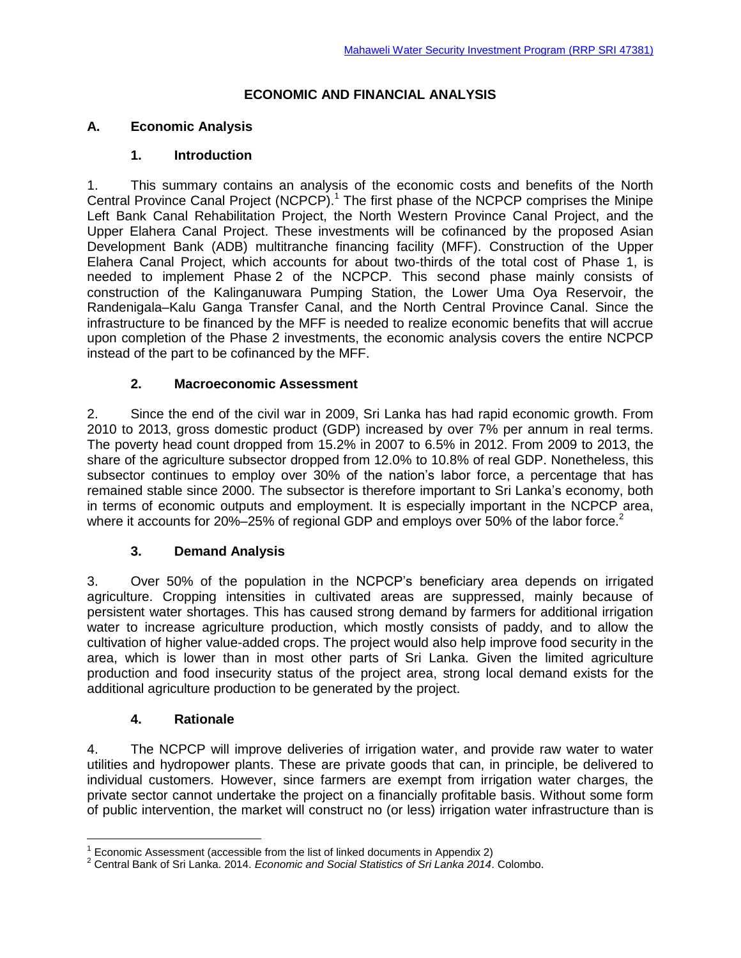### **ECONOMIC AND FINANCIAL ANALYSIS**

## **A. Economic Analysis**

### **1. Introduction**

1. This summary contains an analysis of the economic costs and benefits of the North Central Province Canal Project (NCPCP).<sup>1</sup> The first phase of the NCPCP comprises the Minipe Left Bank Canal Rehabilitation Project, the North Western Province Canal Project, and the Upper Elahera Canal Project. These investments will be cofinanced by the proposed Asian Development Bank (ADB) multitranche financing facility (MFF). Construction of the Upper Elahera Canal Project, which accounts for about two-thirds of the total cost of Phase 1, is needed to implement Phase 2 of the NCPCP. This second phase mainly consists of construction of the Kalinganuwara Pumping Station, the Lower Uma Oya Reservoir, the Randenigala–Kalu Ganga Transfer Canal, and the North Central Province Canal. Since the infrastructure to be financed by the MFF is needed to realize economic benefits that will accrue upon completion of the Phase 2 investments, the economic analysis covers the entire NCPCP instead of the part to be cofinanced by the MFF.

## **2. Macroeconomic Assessment**

2. Since the end of the civil war in 2009, Sri Lanka has had rapid economic growth. From 2010 to 2013, gross domestic product (GDP) increased by over 7% per annum in real terms. The poverty head count dropped from 15.2% in 2007 to 6.5% in 2012. From 2009 to 2013, the share of the agriculture subsector dropped from 12.0% to 10.8% of real GDP. Nonetheless, this subsector continues to employ over 30% of the nation's labor force, a percentage that has remained stable since 2000. The subsector is therefore important to Sri Lanka's economy, both in terms of economic outputs and employment. It is especially important in the NCPCP area, where it accounts for 20%–25% of regional GDP and employs over 50% of the labor force.<sup>2</sup>

## **3. Demand Analysis**

3. Over 50% of the population in the NCPCP's beneficiary area depends on irrigated agriculture. Cropping intensities in cultivated areas are suppressed, mainly because of persistent water shortages. This has caused strong demand by farmers for additional irrigation water to increase agriculture production, which mostly consists of paddy, and to allow the cultivation of higher value-added crops. The project would also help improve food security in the area, which is lower than in most other parts of Sri Lanka. Given the limited agriculture production and food insecurity status of the project area, strong local demand exists for the additional agriculture production to be generated by the project.

### **4. Rationale**

 $\overline{a}$ 

4. The NCPCP will improve deliveries of irrigation water, and provide raw water to water utilities and hydropower plants. These are private goods that can, in principle, be delivered to individual customers. However, since farmers are exempt from irrigation water charges, the private sector cannot undertake the project on a financially profitable basis. Without some form of public intervention, the market will construct no (or less) irrigation water infrastructure than is

 $1$  Economic Assessment (accessible from the list of linked documents in Appendix 2)

<sup>2</sup> Central Bank of Sri Lanka. 2014. *Economic and Social Statistics of Sri Lanka 2014*. Colombo.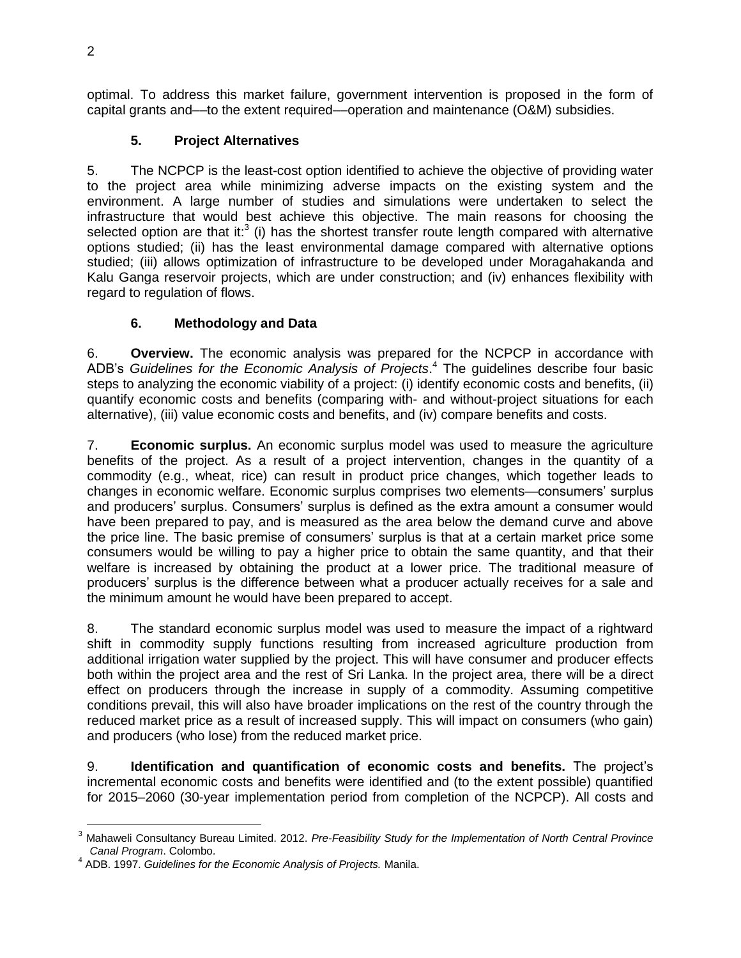optimal. To address this market failure, government intervention is proposed in the form of capital grants and––to the extent required––operation and maintenance (O&M) subsidies.

# **5. Project Alternatives**

5. The NCPCP is the least-cost option identified to achieve the objective of providing water to the project area while minimizing adverse impacts on the existing system and the environment. A large number of studies and simulations were undertaken to select the infrastructure that would best achieve this objective. The main reasons for choosing the selected option are that it: $3$  (i) has the shortest transfer route length compared with alternative options studied; (ii) has the least environmental damage compared with alternative options studied; (iii) allows optimization of infrastructure to be developed under Moragahakanda and Kalu Ganga reservoir projects, which are under construction; and (iv) enhances flexibility with regard to regulation of flows.

# **6. Methodology and Data**

6. **Overview.** The economic analysis was prepared for the NCPCP in accordance with ADB's *Guidelines for the Economic Analysis of Projects*. <sup>4</sup> The guidelines describe four basic steps to analyzing the economic viability of a project: (i) identify economic costs and benefits, (ii) quantify economic costs and benefits (comparing with- and without-project situations for each alternative), (iii) value economic costs and benefits, and (iv) compare benefits and costs.

7. **Economic surplus.** An economic surplus model was used to measure the agriculture benefits of the project. As a result of a project intervention, changes in the quantity of a commodity (e.g., wheat, rice) can result in product price changes, which together leads to changes in economic welfare. Economic surplus comprises two elements—consumers' surplus and producers' surplus. Consumers' surplus is defined as the extra amount a consumer would have been prepared to pay, and is measured as the area below the demand curve and above the price line. The basic premise of consumers' surplus is that at a certain market price some consumers would be willing to pay a higher price to obtain the same quantity, and that their welfare is increased by obtaining the product at a lower price. The traditional measure of producers' surplus is the difference between what a producer actually receives for a sale and the minimum amount he would have been prepared to accept.

8. The standard economic surplus model was used to measure the impact of a rightward shift in commodity supply functions resulting from increased agriculture production from additional irrigation water supplied by the project. This will have consumer and producer effects both within the project area and the rest of Sri Lanka. In the project area, there will be a direct effect on producers through the increase in supply of a commodity. Assuming competitive conditions prevail, this will also have broader implications on the rest of the country through the reduced market price as a result of increased supply. This will impact on consumers (who gain) and producers (who lose) from the reduced market price.

9. **Identification and quantification of economic costs and benefits.** The project's incremental economic costs and benefits were identified and (to the extent possible) quantified for 2015–2060 (30-year implementation period from completion of the NCPCP). All costs and

 $\overline{a}$ <sup>3</sup> Mahaweli Consultancy Bureau Limited. 2012. *Pre-Feasibility Study for the Implementation of North Central Province Canal Program*. Colombo.

<sup>4</sup> ADB. 1997. *Guidelines for the Economic Analysis of Projects.* Manila.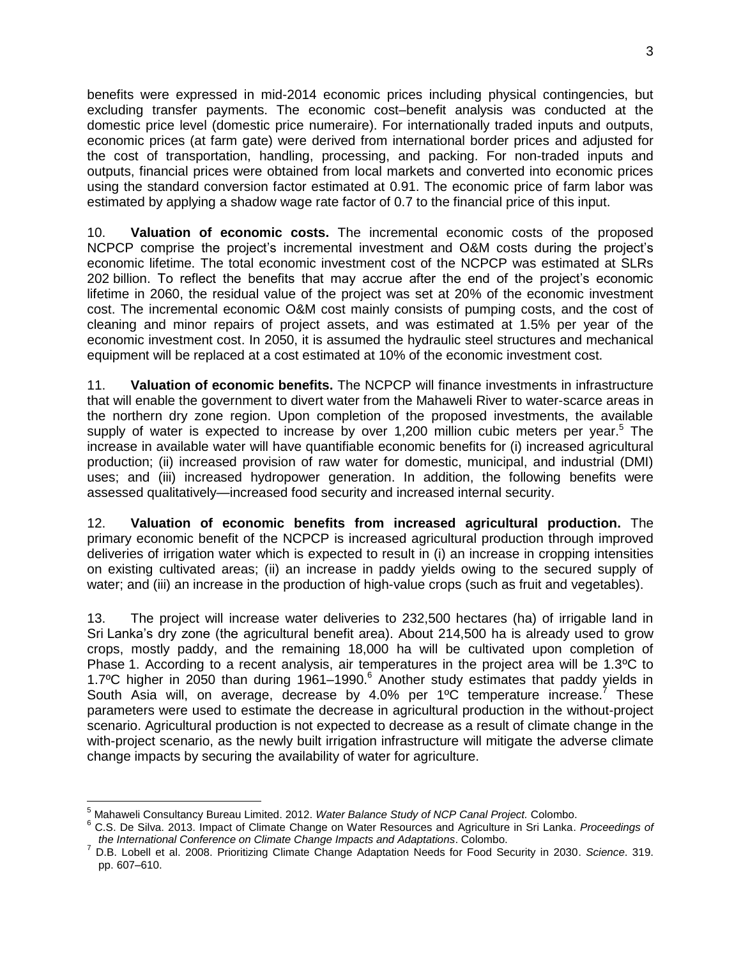benefits were expressed in mid-2014 economic prices including physical contingencies, but excluding transfer payments. The economic cost–benefit analysis was conducted at the domestic price level (domestic price numeraire). For internationally traded inputs and outputs, economic prices (at farm gate) were derived from international border prices and adjusted for the cost of transportation, handling, processing, and packing. For non-traded inputs and outputs, financial prices were obtained from local markets and converted into economic prices using the standard conversion factor estimated at 0.91. The economic price of farm labor was estimated by applying a shadow wage rate factor of 0.7 to the financial price of this input.

10. **Valuation of economic costs.** The incremental economic costs of the proposed NCPCP comprise the project's incremental investment and O&M costs during the project's economic lifetime. The total economic investment cost of the NCPCP was estimated at SLRs 202 billion. To reflect the benefits that may accrue after the end of the project's economic lifetime in 2060, the residual value of the project was set at 20% of the economic investment cost. The incremental economic O&M cost mainly consists of pumping costs, and the cost of cleaning and minor repairs of project assets, and was estimated at 1.5% per year of the economic investment cost. In 2050, it is assumed the hydraulic steel structures and mechanical equipment will be replaced at a cost estimated at 10% of the economic investment cost.

11. **Valuation of economic benefits.** The NCPCP will finance investments in infrastructure that will enable the government to divert water from the Mahaweli River to water-scarce areas in the northern dry zone region. Upon completion of the proposed investments, the available supply of water is expected to increase by over 1,200 million cubic meters per year.<sup>5</sup> The increase in available water will have quantifiable economic benefits for (i) increased agricultural production; (ii) increased provision of raw water for domestic, municipal, and industrial (DMI) uses; and (iii) increased hydropower generation. In addition, the following benefits were assessed qualitatively—increased food security and increased internal security.

12. **Valuation of economic benefits from increased agricultural production.** The primary economic benefit of the NCPCP is increased agricultural production through improved deliveries of irrigation water which is expected to result in (i) an increase in cropping intensities on existing cultivated areas; (ii) an increase in paddy yields owing to the secured supply of water; and (iii) an increase in the production of high-value crops (such as fruit and vegetables).

13. The project will increase water deliveries to 232,500 hectares (ha) of irrigable land in Sri Lanka's dry zone (the agricultural benefit area). About 214,500 ha is already used to grow crops, mostly paddy, and the remaining 18,000 ha will be cultivated upon completion of Phase 1. According to a recent analysis, air temperatures in the project area will be 1.3ºC to 1.7 $^{\circ}$ C higher in 2050 than during 1961–1990. $^{\circ}$  Another study estimates that paddy yields in South Asia will, on average, decrease by 4.0% per  $1^{\circ}$ C temperature increase.<sup>7</sup> These parameters were used to estimate the decrease in agricultural production in the without-project scenario. Agricultural production is not expected to decrease as a result of climate change in the with-project scenario, as the newly built irrigation infrastructure will mitigate the adverse climate change impacts by securing the availability of water for agriculture.

 $\overline{a}$ <sup>5</sup> Mahaweli Consultancy Bureau Limited. 2012. *Water Balance Study of NCP Canal Project.* Colombo.

<sup>6</sup> C.S. De Silva. 2013. Impact of Climate Change on Water Resources and Agriculture in Sri Lanka. *Proceedings of the International Conference on Climate Change Impacts and Adaptations*. Colombo.

<sup>7</sup> D.B. Lobell et al. 2008. Prioritizing Climate Change Adaptation Needs for Food Security in 2030. *Science*. 319. pp. 607–610.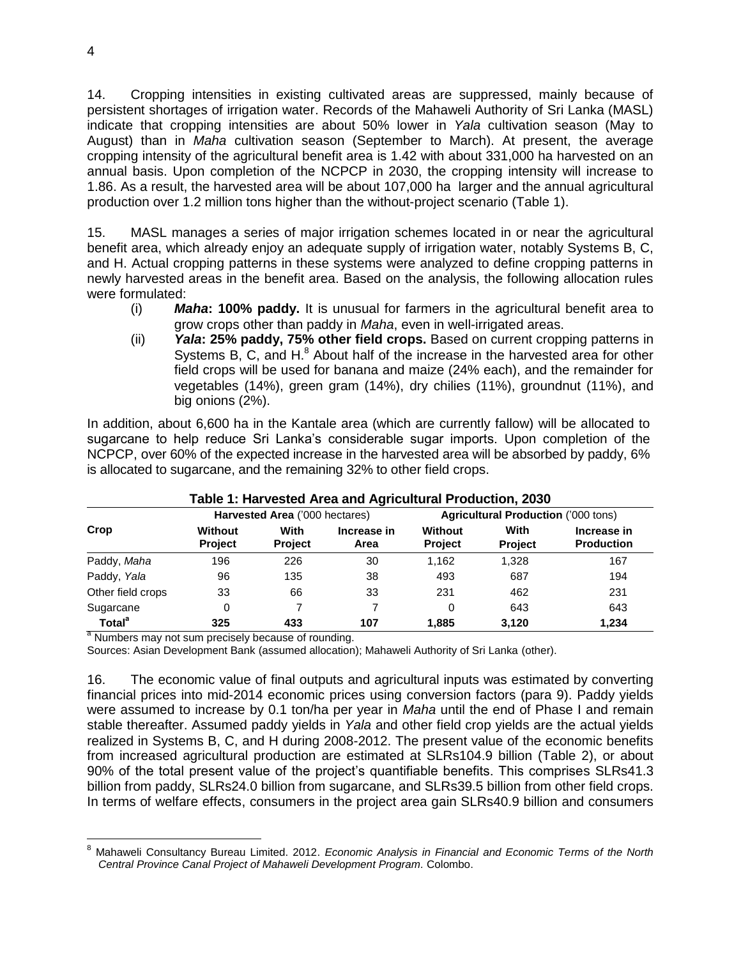14. Cropping intensities in existing cultivated areas are suppressed, mainly because of persistent shortages of irrigation water. Records of the Mahaweli Authority of Sri Lanka (MASL) indicate that cropping intensities are about 50% lower in *Yala* cultivation season (May to August) than in *Maha* cultivation season (September to March). At present, the average cropping intensity of the agricultural benefit area is 1.42 with about 331,000 ha harvested on an annual basis. Upon completion of the NCPCP in 2030, the cropping intensity will increase to 1.86. As a result, the harvested area will be about 107,000 ha larger and the annual agricultural production over 1.2 million tons higher than the without-project scenario (Table 1).

15. MASL manages a series of major irrigation schemes located in or near the agricultural benefit area, which already enjoy an adequate supply of irrigation water, notably Systems B, C, and H. Actual cropping patterns in these systems were analyzed to define cropping patterns in newly harvested areas in the benefit area. Based on the analysis, the following allocation rules were formulated:

- (i) *Maha***: 100% paddy.** It is unusual for farmers in the agricultural benefit area to grow crops other than paddy in *Maha*, even in well-irrigated areas.
- (ii) *Yala***: 25% paddy, 75% other field crops.** Based on current cropping patterns in Systems B, C, and  $H<sup>8</sup>$  About half of the increase in the harvested area for other field crops will be used for banana and maize (24% each), and the remainder for vegetables (14%), green gram (14%), dry chilies (11%), groundnut (11%), and big onions (2%).

In addition, about 6,600 ha in the Kantale area (which are currently fallow) will be allocated to sugarcane to help reduce Sri Lanka's considerable sugar imports. Upon completion of the NCPCP, over 60% of the expected increase in the harvested area will be absorbed by paddy, 6% is allocated to sugarcane, and the remaining 32% to other field crops.

| rable 1. Harvested Area and Agricultural Froudetion, 2000 |                                  |                                |                     |                                     |                        |                                  |  |  |
|-----------------------------------------------------------|----------------------------------|--------------------------------|---------------------|-------------------------------------|------------------------|----------------------------------|--|--|
| Crop                                                      |                                  | Harvested Area ('000 hectares) |                     | Agricultural Production ('000 tons) |                        |                                  |  |  |
|                                                           | <b>Without</b><br><b>Project</b> | With<br><b>Project</b>         | Increase in<br>Area | Without<br><b>Project</b>           | With<br><b>Project</b> | Increase in<br><b>Production</b> |  |  |
| Paddy, Maha                                               | 196                              | 226                            | 30                  | 1.162                               | 1.328                  | 167                              |  |  |
| Paddy, Yala                                               | 96                               | 135                            | 38                  | 493                                 | 687                    | 194                              |  |  |
| Other field crops                                         | 33                               | 66                             | 33                  | 231                                 | 462                    | 231                              |  |  |
| Sugarcane                                                 | 0                                |                                |                     | $\Omega$                            | 643                    | 643                              |  |  |
| Total <sup>a</sup>                                        | 325                              | 433                            | 107                 | 1.885                               | 3.120                  | 1.234                            |  |  |

### **Table 1: Harvested Area and Agricultural Production, 2030**

<sup>a</sup> Numbers may not sum precisely because of rounding.

Sources: Asian Development Bank (assumed allocation); Mahaweli Authority of Sri Lanka (other).

16. The economic value of final outputs and agricultural inputs was estimated by converting financial prices into mid-2014 economic prices using conversion factors (para 9). Paddy yields were assumed to increase by 0.1 ton/ha per year in *Maha* until the end of Phase I and remain stable thereafter. Assumed paddy yields in *Yala* and other field crop yields are the actual yields realized in Systems B, C, and H during 2008-2012. The present value of the economic benefits from increased agricultural production are estimated at SLRs104.9 billion (Table 2), or about 90% of the total present value of the project's quantifiable benefits. This comprises SLRs41.3 billion from paddy, SLRs24.0 billion from sugarcane, and SLRs39.5 billion from other field crops. In terms of welfare effects, consumers in the project area gain SLRs40.9 billion and consumers

 $\overline{a}$ 

<sup>8</sup> Mahaweli Consultancy Bureau Limited. 2012. *Economic Analysis in Financial and Economic Terms of the North Central Province Canal Project of Mahaweli Development Program.* Colombo.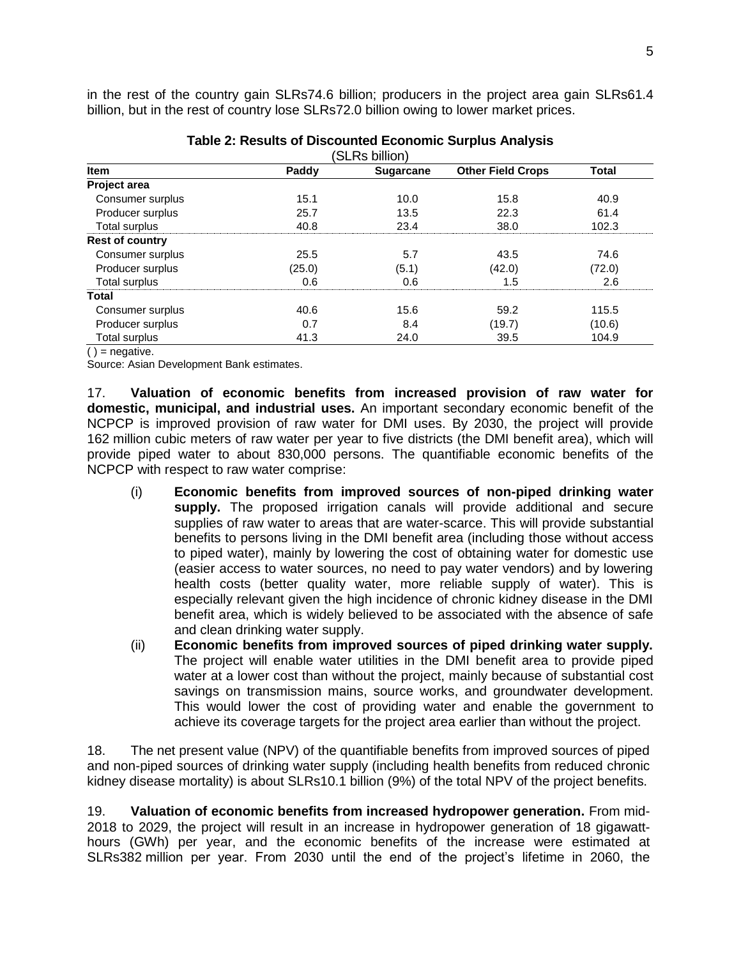in the rest of the country gain SLRs74.6 billion; producers in the project area gain SLRs61.4 billion, but in the rest of country lose SLRs72.0 billion owing to lower market prices.

| (SLRs billion)         |        |                  |                          |        |  |  |  |
|------------------------|--------|------------------|--------------------------|--------|--|--|--|
| <b>Item</b>            | Paddy  | <b>Sugarcane</b> | <b>Other Field Crops</b> | Total  |  |  |  |
| Project area           |        |                  |                          |        |  |  |  |
| Consumer surplus       | 15.1   | 10.0             | 15.8                     | 40.9   |  |  |  |
| Producer surplus       | 25.7   | 13.5             | 22.3                     | 61.4   |  |  |  |
| Total surplus          | 40.8   | 23.4             | 38.0                     | 102.3  |  |  |  |
| <b>Rest of country</b> |        |                  |                          |        |  |  |  |
| Consumer surplus       | 25.5   | 5.7              | 43.5                     | 74.6   |  |  |  |
| Producer surplus       | (25.0) | (5.1)            | (42.0)                   | (72.0) |  |  |  |
| Total surplus          | 0.6    | 0.6              | 1.5                      | 2.6    |  |  |  |
| Total                  |        |                  |                          |        |  |  |  |
| Consumer surplus       | 40.6   | 15.6             | 59.2                     | 115.5  |  |  |  |
| Producer surplus       | 0.7    | 8.4              | (19.7)                   | (10.6) |  |  |  |
| Total surplus          | 41.3   | 24.0             | 39.5                     | 104.9  |  |  |  |

| Table 2: Results of Discounted Economic Surplus Analysis |  |  |
|----------------------------------------------------------|--|--|
|----------------------------------------------------------|--|--|

 $()$  = negative.

Source: Asian Development Bank estimates.

17. **Valuation of economic benefits from increased provision of raw water for domestic, municipal, and industrial uses.** An important secondary economic benefit of the NCPCP is improved provision of raw water for DMI uses. By 2030, the project will provide 162 million cubic meters of raw water per year to five districts (the DMI benefit area), which will provide piped water to about 830,000 persons. The quantifiable economic benefits of the NCPCP with respect to raw water comprise:

- (i) **Economic benefits from improved sources of non-piped drinking water supply.** The proposed irrigation canals will provide additional and secure supplies of raw water to areas that are water-scarce. This will provide substantial benefits to persons living in the DMI benefit area (including those without access to piped water), mainly by lowering the cost of obtaining water for domestic use (easier access to water sources, no need to pay water vendors) and by lowering health costs (better quality water, more reliable supply of water). This is especially relevant given the high incidence of chronic kidney disease in the DMI benefit area, which is widely believed to be associated with the absence of safe and clean drinking water supply.
- (ii) **Economic benefits from improved sources of piped drinking water supply.** The project will enable water utilities in the DMI benefit area to provide piped water at a lower cost than without the project, mainly because of substantial cost savings on transmission mains, source works, and groundwater development. This would lower the cost of providing water and enable the government to achieve its coverage targets for the project area earlier than without the project.

18. The net present value (NPV) of the quantifiable benefits from improved sources of piped and non-piped sources of drinking water supply (including health benefits from reduced chronic kidney disease mortality) is about SLRs10.1 billion (9%) of the total NPV of the project benefits.

19. **Valuation of economic benefits from increased hydropower generation.** From mid-2018 to 2029, the project will result in an increase in hydropower generation of 18 gigawatthours (GWh) per year, and the economic benefits of the increase were estimated at SLRs382 million per year. From 2030 until the end of the project's lifetime in 2060, the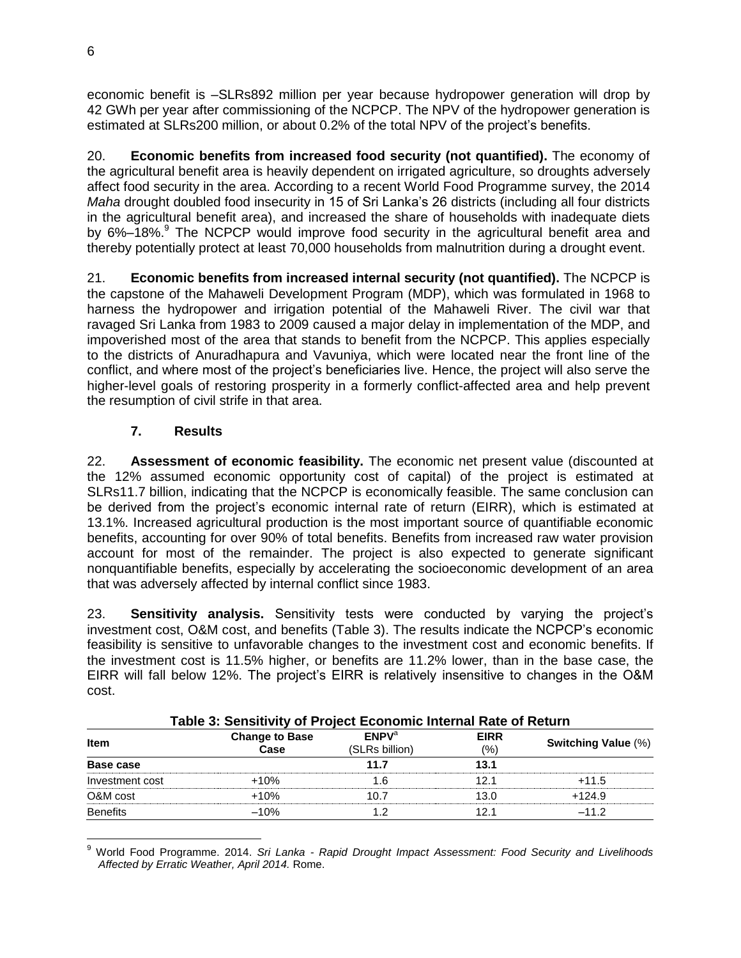economic benefit is –SLRs892 million per year because hydropower generation will drop by 42 GWh per year after commissioning of the NCPCP. The NPV of the hydropower generation is estimated at SLRs200 million, or about 0.2% of the total NPV of the project's benefits.

20. **Economic benefits from increased food security (not quantified).** The economy of the agricultural benefit area is heavily dependent on irrigated agriculture, so droughts adversely affect food security in the area. According to a recent World Food Programme survey, the 2014 *Maha* drought doubled food insecurity in 15 of Sri Lanka's 26 districts (including all four districts in the agricultural benefit area), and increased the share of households with inadequate diets by 6%–18%.<sup>9</sup> The NCPCP would improve food security in the agricultural benefit area and thereby potentially protect at least 70,000 households from malnutrition during a drought event.

21. **Economic benefits from increased internal security (not quantified).** The NCPCP is the capstone of the Mahaweli Development Program (MDP), which was formulated in 1968 to harness the hydropower and irrigation potential of the Mahaweli River. The civil war that ravaged Sri Lanka from 1983 to 2009 caused a major delay in implementation of the MDP, and impoverished most of the area that stands to benefit from the NCPCP. This applies especially to the districts of Anuradhapura and Vavuniya, which were located near the front line of the conflict, and where most of the project's beneficiaries live. Hence, the project will also serve the higher-level goals of restoring prosperity in a formerly conflict-affected area and help prevent the resumption of civil strife in that area.

## **7. Results**

22. **Assessment of economic feasibility.** The economic net present value (discounted at the 12% assumed economic opportunity cost of capital) of the project is estimated at SLRs11.7 billion, indicating that the NCPCP is economically feasible. The same conclusion can be derived from the project's economic internal rate of return (EIRR), which is estimated at 13.1%. Increased agricultural production is the most important source of quantifiable economic benefits, accounting for over 90% of total benefits. Benefits from increased raw water provision account for most of the remainder. The project is also expected to generate significant nonquantifiable benefits, especially by accelerating the socioeconomic development of an area that was adversely affected by internal conflict since 1983.

23. **Sensitivity analysis.** Sensitivity tests were conducted by varying the project's investment cost, O&M cost, and benefits (Table 3). The results indicate the NCPCP's economic feasibility is sensitive to unfavorable changes to the investment cost and economic benefits. If the investment cost is 11.5% higher, or benefits are 11.2% lower, than in the base case, the EIRR will fall below 12%. The project's EIRR is relatively insensitive to changes in the O&M cost.

| Table 5. Sensitivity of Froject Economic Internal Kate of Keturn |                               |                                     |                    |                            |  |  |
|------------------------------------------------------------------|-------------------------------|-------------------------------------|--------------------|----------------------------|--|--|
| <b>Item</b>                                                      | <b>Change to Base</b><br>Case | FNPV <sup>a</sup><br>(SLRs billion) | <b>EIRR</b><br>(%) | <b>Switching Value (%)</b> |  |  |
| Base case                                                        |                               | 11.7                                | 13.1               |                            |  |  |
| Investment cost                                                  | $+10%$                        | 1.6                                 | 12.1               | $+11.5$                    |  |  |
| O&M cost                                                         | $+10%$                        | 10.7                                | 13.0               | $+124.9$                   |  |  |
| <b>Benefits</b>                                                  | $-10%$                        |                                     | 12.1               | $-11.2$                    |  |  |

### **Table 3: Sensitivity of Project Economic Internal Rate of Return**

<sup>9</sup> World Food Programme. 2014. *Sri Lanka - Rapid Drought Impact Assessment: Food Security and Livelihoods Affected by Erratic Weather, April 2014.* Rome.

 $\overline{a}$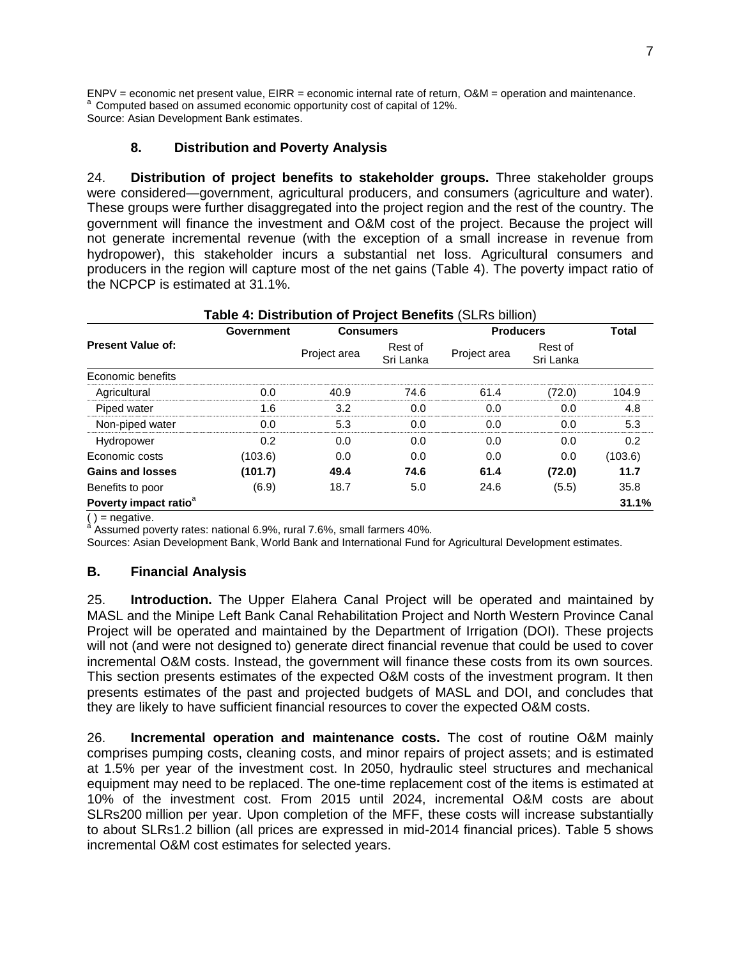ENPV = economic net present value, EIRR = economic internal rate of return, O&M = operation and maintenance. <sup>a</sup> Computed based on assumed economic opportunity cost of capital of 12%. Source: Asian Development Bank estimates.

## **8. Distribution and Poverty Analysis**

24. **Distribution of project benefits to stakeholder groups.** Three stakeholder groups were considered—government, agricultural producers, and consumers (agriculture and water). These groups were further disaggregated into the project region and the rest of the country. The government will finance the investment and O&M cost of the project. Because the project will not generate incremental revenue (with the exception of a small increase in revenue from hydropower), this stakeholder incurs a substantial net loss. Agricultural consumers and producers in the region will capture most of the net gains (Table 4). The poverty impact ratio of the NCPCP is estimated at 31.1%.

|                                   | <b>Government</b> | <b>Consumers</b> |                      | <b>Producers</b> | <b>Total</b>         |         |
|-----------------------------------|-------------------|------------------|----------------------|------------------|----------------------|---------|
| <b>Present Value of:</b>          |                   | Project area     | Rest of<br>Sri Lanka | Project area     | Rest of<br>Sri Lanka |         |
| Economic benefits                 |                   |                  |                      |                  |                      |         |
| Agricultural                      | 0.0               | 40.9             | 74.6                 | 61.4             | (72.0)               | 104.9   |
| Piped water                       | 1.6               | 3.2              | 0.0                  | 0.0              | 0.0                  | 4.8     |
| Non-piped water                   | 0.0               | 5.3              | 0.0                  | 0.0              | 0.0                  | 5.3     |
| Hydropower                        | 0.2               | 0.0              | 0.0                  | 0.0              | 0.0                  | 0.2     |
| Economic costs                    | (103.6)           | 0.0              | 0.0                  | 0.0              | 0.0                  | (103.6) |
| <b>Gains and losses</b>           | (101.7)           | 49.4             | 74.6                 | 61.4             | (72.0)               | 11.7    |
| Benefits to poor                  | (6.9)             | 18.7             | 5.0                  | 24.6             | (5.5)                | 35.8    |
| Poverty impact ratio <sup>a</sup> |                   |                  |                      |                  |                      | 31.1%   |
|                                   |                   |                  |                      |                  |                      |         |

# **Table 4: Distribution of Project Benefits** (SLRs billion)

( ) = negative.<br><sup>a</sup> Assumed poverty rates: national 6.9%, rural 7.6%, small farmers 40%.

Sources: Asian Development Bank, World Bank and International Fund for Agricultural Development estimates.

### **B. Financial Analysis**

25. **Introduction.** The Upper Elahera Canal Project will be operated and maintained by MASL and the Minipe Left Bank Canal Rehabilitation Project and North Western Province Canal Project will be operated and maintained by the Department of Irrigation (DOI). These projects will not (and were not designed to) generate direct financial revenue that could be used to cover incremental O&M costs. Instead, the government will finance these costs from its own sources. This section presents estimates of the expected O&M costs of the investment program. It then presents estimates of the past and projected budgets of MASL and DOI, and concludes that they are likely to have sufficient financial resources to cover the expected O&M costs.

26. **Incremental operation and maintenance costs.** The cost of routine O&M mainly comprises pumping costs, cleaning costs, and minor repairs of project assets; and is estimated at 1.5% per year of the investment cost. In 2050, hydraulic steel structures and mechanical equipment may need to be replaced. The one-time replacement cost of the items is estimated at 10% of the investment cost. From 2015 until 2024, incremental O&M costs are about SLRs200 million per year. Upon completion of the MFF, these costs will increase substantially to about SLRs1.2 billion (all prices are expressed in mid-2014 financial prices). Table 5 shows incremental O&M cost estimates for selected years.